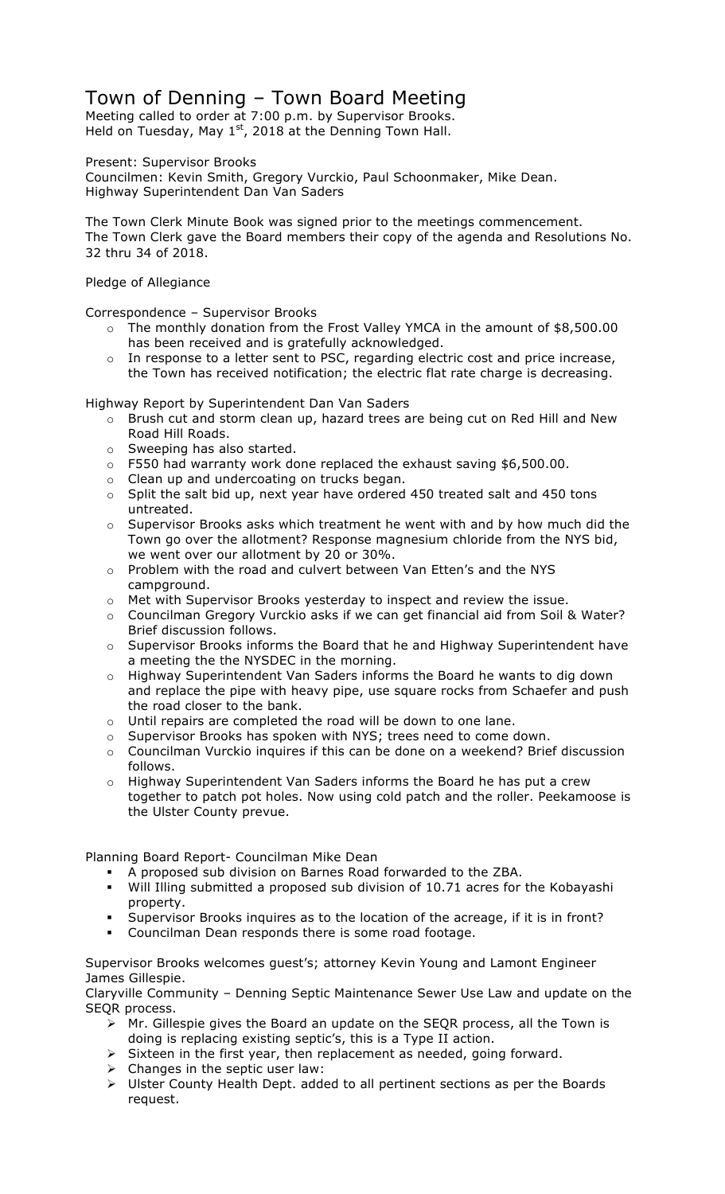# Town of Denning – Town Board Meeting

Meeting called to order at 7:00 p.m. by Supervisor Brooks. Held on Tuesday, May  $1<sup>st</sup>$ , 2018 at the Denning Town Hall.

Present: Supervisor Brooks

Councilmen: Kevin Smith, Gregory Vurckio, Paul Schoonmaker, Mike Dean. Highway Superintendent Dan Van Saders

The Town Clerk Minute Book was signed prior to the meetings commencement. The Town Clerk gave the Board members their copy of the agenda and Resolutions No. 32 thru 34 of 2018.

Pledge of Allegiance

Correspondence – Supervisor Brooks

- o The monthly donation from the Frost Valley YMCA in the amount of \$8,500.00 has been received and is gratefully acknowledged.
- o In response to a letter sent to PSC, regarding electric cost and price increase, the Town has received notification; the electric flat rate charge is decreasing.

Highway Report by Superintendent Dan Van Saders

- o Brush cut and storm clean up, hazard trees are being cut on Red Hill and New Road Hill Roads.
- o Sweeping has also started.
- o F550 had warranty work done replaced the exhaust saving \$6,500.00.
- o Clean up and undercoating on trucks began.
- $\circ$  Split the salt bid up, next year have ordered 450 treated salt and 450 tons untreated.
- o Supervisor Brooks asks which treatment he went with and by how much did the Town go over the allotment? Response magnesium chloride from the NYS bid, we went over our allotment by 20 or 30%.
- o Problem with the road and culvert between Van Etten's and the NYS campground.
- $\circ$  Met with Supervisor Brooks yesterday to inspect and review the issue.
- o Councilman Gregory Vurckio asks if we can get financial aid from Soil & Water? Brief discussion follows.
- $\circ$  Supervisor Brooks informs the Board that he and Highway Superintendent have a meeting the the NYSDEC in the morning.
- o Highway Superintendent Van Saders informs the Board he wants to dig down and replace the pipe with heavy pipe, use square rocks from Schaefer and push the road closer to the bank.
- o Until repairs are completed the road will be down to one lane.
- o Supervisor Brooks has spoken with NYS; trees need to come down.
- $\circ$  Councilman Vurckio inquires if this can be done on a weekend? Brief discussion follows.
- o Highway Superintendent Van Saders informs the Board he has put a crew together to patch pot holes. Now using cold patch and the roller. Peekamoose is the Ulster County prevue.

Planning Board Report- Councilman Mike Dean

- ! A proposed sub division on Barnes Road forwarded to the ZBA.
- Will Illing submitted a proposed sub division of 10.71 acres for the Kobayashi property.
- Supervisor Brooks inquires as to the location of the acreage, if it is in front?
- ! Councilman Dean responds there is some road footage.

Supervisor Brooks welcomes guest's; attorney Kevin Young and Lamont Engineer James Gillespie.

Claryville Community – Denning Septic Maintenance Sewer Use Law and update on the SEQR process.

- > Mr. Gillespie gives the Board an update on the SEQR process, all the Town is doing is replacing existing septic's, this is a Type II action.
- $\triangleright$  Sixteen in the first year, then replacement as needed, going forward.
- $\triangleright$  Changes in the septic user law:
- > Ulster County Health Dept. added to all pertinent sections as per the Boards request.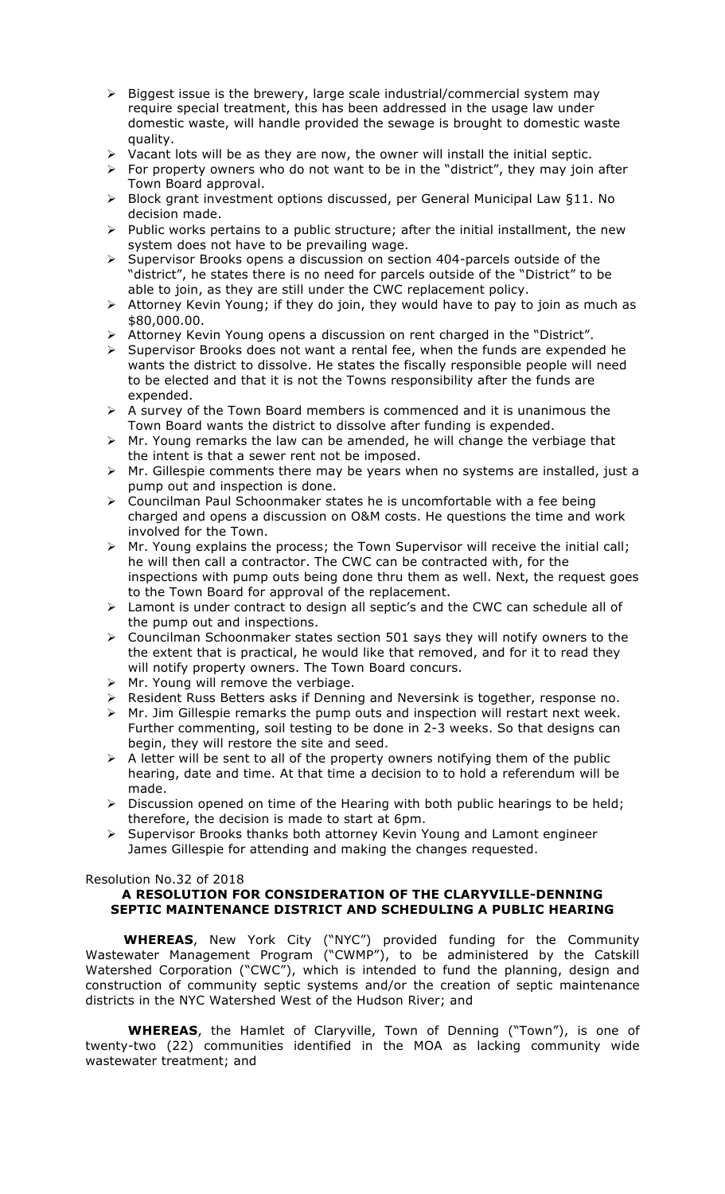- $\triangleright$  Biggest issue is the brewery, large scale industrial/commercial system may require special treatment, this has been addressed in the usage law under domestic waste, will handle provided the sewage is brought to domestic waste quality.
- $\triangleright$  Vacant lots will be as they are now, the owner will install the initial septic.
- $\triangleright$  For property owners who do not want to be in the "district", they may join after Town Board approval.
- $\triangleright$  Block grant investment options discussed, per General Municipal Law §11. No decision made.
- $\triangleright$  Public works pertains to a public structure; after the initial installment, the new system does not have to be prevailing wage.
- $\geq$  Supervisor Brooks opens a discussion on section 404-parcels outside of the "district", he states there is no need for parcels outside of the "District" to be able to join, as they are still under the CWC replacement policy.
- $\triangleright$  Attorney Kevin Young; if they do join, they would have to pay to join as much as \$80,000.00.
- > Attorney Kevin Young opens a discussion on rent charged in the "District".
- $\triangleright$  Supervisor Brooks does not want a rental fee, when the funds are expended he wants the district to dissolve. He states the fiscally responsible people will need to be elected and that it is not the Towns responsibility after the funds are expended.
- $\triangleright$  A survey of the Town Board members is commenced and it is unanimous the Town Board wants the district to dissolve after funding is expended.
- $\triangleright$  Mr. Young remarks the law can be amended, he will change the verbiage that the intent is that a sewer rent not be imposed.
- $\triangleright$  Mr. Gillespie comments there may be years when no systems are installed, just a pump out and inspection is done.
- $\triangleright$  Councilman Paul Schoonmaker states he is uncomfortable with a fee being charged and opens a discussion on O&M costs. He questions the time and work involved for the Town.
- $\triangleright$  Mr. Young explains the process; the Town Supervisor will receive the initial call; he will then call a contractor. The CWC can be contracted with, for the inspections with pump outs being done thru them as well. Next, the request goes to the Town Board for approval of the replacement.
- > Lamont is under contract to design all septic's and the CWC can schedule all of the pump out and inspections.
- $\triangleright$  Councilman Schoonmaker states section 501 says they will notify owners to the the extent that is practical, he would like that removed, and for it to read they will notify property owners. The Town Board concurs.
- $\triangleright$  Mr. Young will remove the verbiage.
- > Resident Russ Betters asks if Denning and Neversink is together, response no.
- $\triangleright$  Mr. Jim Gillespie remarks the pump outs and inspection will restart next week. Further commenting, soil testing to be done in 2-3 weeks. So that designs can begin, they will restore the site and seed.
- $\triangleright$  A letter will be sent to all of the property owners notifying them of the public hearing, date and time. At that time a decision to to hold a referendum will be made.
- $\triangleright$  Discussion opened on time of the Hearing with both public hearings to be held; therefore, the decision is made to start at 6pm.
- > Supervisor Brooks thanks both attorney Kevin Young and Lamont engineer James Gillespie for attending and making the changes requested.

#### Resolution No.32 of 2018

## **A RESOLUTION FOR CONSIDERATION OF THE CLARYVILLE-DENNING SEPTIC MAINTENANCE DISTRICT AND SCHEDULING A PUBLIC HEARING**

 **WHEREAS**, New York City ("NYC") provided funding for the Community Wastewater Management Program ("CWMP"), to be administered by the Catskill Watershed Corporation ("CWC"), which is intended to fund the planning, design and construction of community septic systems and/or the creation of septic maintenance districts in the NYC Watershed West of the Hudson River; and

**WHEREAS**, the Hamlet of Claryville, Town of Denning ("Town"), is one of twenty-two (22) communities identified in the MOA as lacking community wide wastewater treatment; and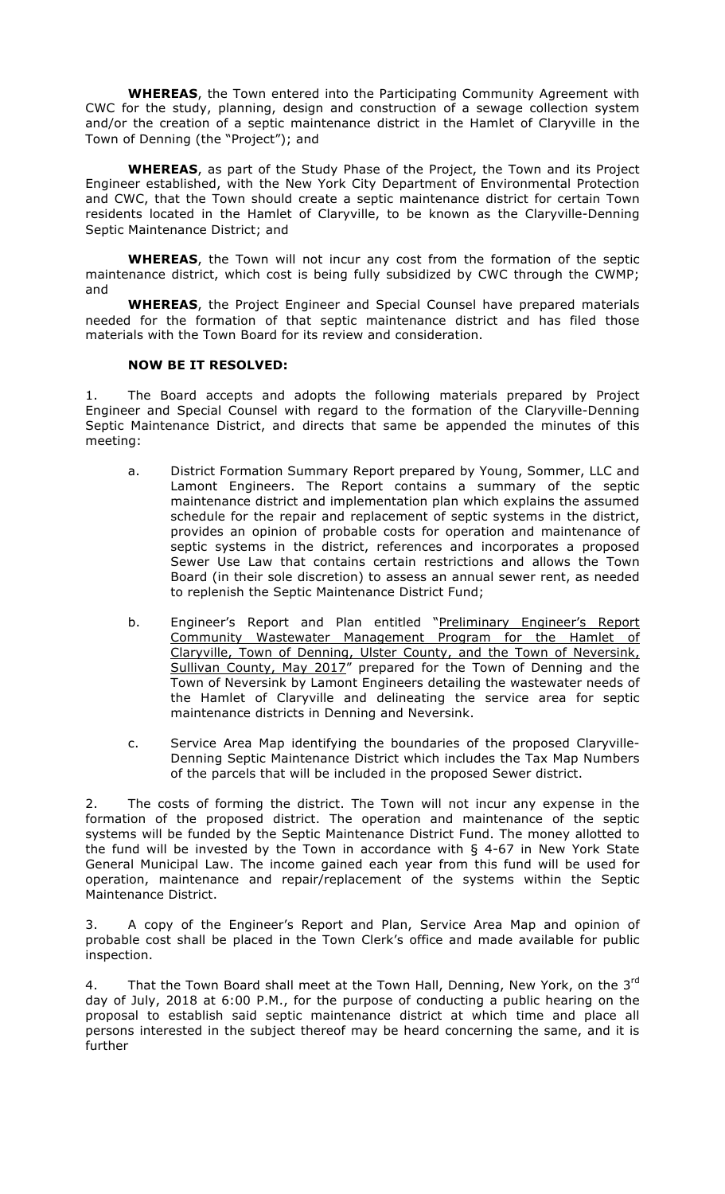**WHEREAS**, the Town entered into the Participating Community Agreement with CWC for the study, planning, design and construction of a sewage collection system and/or the creation of a septic maintenance district in the Hamlet of Claryville in the Town of Denning (the "Project"); and

**WHEREAS**, as part of the Study Phase of the Project, the Town and its Project Engineer established, with the New York City Department of Environmental Protection and CWC, that the Town should create a septic maintenance district for certain Town residents located in the Hamlet of Claryville, to be known as the Claryville-Denning Septic Maintenance District; and

**WHEREAS**, the Town will not incur any cost from the formation of the septic maintenance district, which cost is being fully subsidized by CWC through the CWMP; and

**WHEREAS**, the Project Engineer and Special Counsel have prepared materials needed for the formation of that septic maintenance district and has filed those materials with the Town Board for its review and consideration.

### **NOW BE IT RESOLVED:**

1. The Board accepts and adopts the following materials prepared by Project Engineer and Special Counsel with regard to the formation of the Claryville-Denning Septic Maintenance District, and directs that same be appended the minutes of this meeting:

- a. District Formation Summary Report prepared by Young, Sommer, LLC and Lamont Engineers. The Report contains a summary of the septic maintenance district and implementation plan which explains the assumed schedule for the repair and replacement of septic systems in the district, provides an opinion of probable costs for operation and maintenance of septic systems in the district, references and incorporates a proposed Sewer Use Law that contains certain restrictions and allows the Town Board (in their sole discretion) to assess an annual sewer rent, as needed to replenish the Septic Maintenance District Fund;
- b. Engineer's Report and Plan entitled "Preliminary Engineer's Report Community Wastewater Management Program for the Hamlet of Claryville, Town of Denning, Ulster County, and the Town of Neversink, Sullivan County, May 2017" prepared for the Town of Denning and the Town of Neversink by Lamont Engineers detailing the wastewater needs of the Hamlet of Claryville and delineating the service area for septic maintenance districts in Denning and Neversink.
- c. Service Area Map identifying the boundaries of the proposed Claryville-Denning Septic Maintenance District which includes the Tax Map Numbers of the parcels that will be included in the proposed Sewer district.

2. The costs of forming the district. The Town will not incur any expense in the formation of the proposed district. The operation and maintenance of the septic systems will be funded by the Septic Maintenance District Fund. The money allotted to the fund will be invested by the Town in accordance with § 4-67 in New York State General Municipal Law. The income gained each year from this fund will be used for operation, maintenance and repair/replacement of the systems within the Septic Maintenance District.

3. A copy of the Engineer's Report and Plan, Service Area Map and opinion of probable cost shall be placed in the Town Clerk's office and made available for public inspection.

That the Town Board shall meet at the Town Hall, Denning, New York, on the 3<sup>rd</sup> day of July, 2018 at 6:00 P.M., for the purpose of conducting a public hearing on the proposal to establish said septic maintenance district at which time and place all persons interested in the subject thereof may be heard concerning the same, and it is further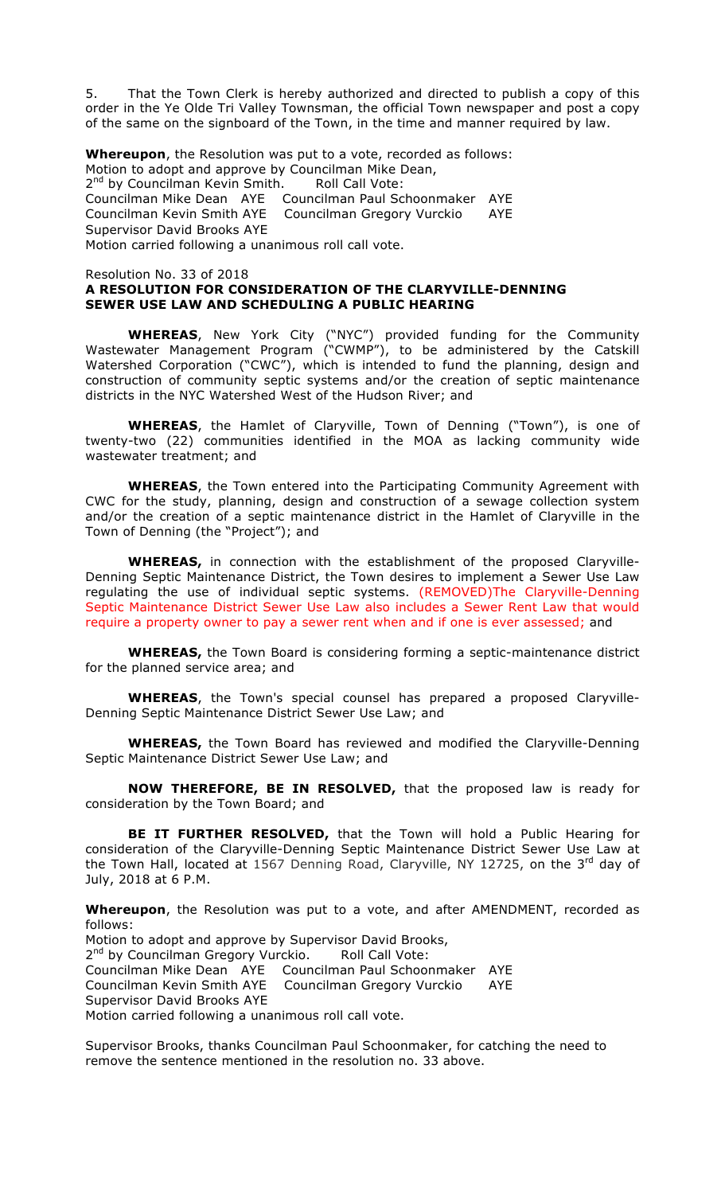5. That the Town Clerk is hereby authorized and directed to publish a copy of this order in the Ye Olde Tri Valley Townsman, the official Town newspaper and post a copy of the same on the signboard of the Town, in the time and manner required by law.

**Whereupon**, the Resolution was put to a vote, recorded as follows: Motion to adopt and approve by Councilman Mike Dean, 2<sup>nd</sup> by Councilman Kevin Smith. Roll Call Vote: Councilman Mike Dean AYE Councilman Paul Schoonmaker AYE Councilman Kevin Smith AYE Councilman Gregory Vurckio AYE Supervisor David Brooks AYE Motion carried following a unanimous roll call vote.

Resolution No. 33 of 2018

## **A RESOLUTION FOR CONSIDERATION OF THE CLARYVILLE-DENNING SEWER USE LAW AND SCHEDULING A PUBLIC HEARING**

**WHEREAS**, New York City ("NYC") provided funding for the Community Wastewater Management Program ("CWMP"), to be administered by the Catskill Watershed Corporation ("CWC"), which is intended to fund the planning, design and construction of community septic systems and/or the creation of septic maintenance districts in the NYC Watershed West of the Hudson River; and

**WHEREAS**, the Hamlet of Claryville, Town of Denning ("Town"), is one of twenty-two (22) communities identified in the MOA as lacking community wide wastewater treatment; and

**WHEREAS**, the Town entered into the Participating Community Agreement with CWC for the study, planning, design and construction of a sewage collection system and/or the creation of a septic maintenance district in the Hamlet of Claryville in the Town of Denning (the "Project"); and

**WHEREAS,** in connection with the establishment of the proposed Claryville-Denning Septic Maintenance District, the Town desires to implement a Sewer Use Law regulating the use of individual septic systems. (REMOVED)The Claryville-Denning Septic Maintenance District Sewer Use Law also includes a Sewer Rent Law that would require a property owner to pay a sewer rent when and if one is ever assessed; and

**WHEREAS,** the Town Board is considering forming a septic-maintenance district for the planned service area; and

**WHEREAS**, the Town's special counsel has prepared a proposed Claryville-Denning Septic Maintenance District Sewer Use Law; and

**WHEREAS,** the Town Board has reviewed and modified the Claryville-Denning Septic Maintenance District Sewer Use Law; and

**NOW THEREFORE, BE IN RESOLVED,** that the proposed law is ready for consideration by the Town Board; and

**BE IT FURTHER RESOLVED,** that the Town will hold a Public Hearing for consideration of the Claryville-Denning Septic Maintenance District Sewer Use Law at the Town Hall, located at 1567 Denning Road, Claryville, NY 12725, on the  $3^{rd}$  day of July, 2018 at 6 P.M.

**Whereupon**, the Resolution was put to a vote, and after AMENDMENT, recorded as follows:

Motion to adopt and approve by Supervisor David Brooks, 2<sup>nd</sup> by Councilman Gregory Vurckio. Roll Call Vote: Councilman Mike Dean AYE Councilman Paul Schoonmaker AYE Councilman Kevin Smith AYE Councilman Gregory Vurckio AYE Supervisor David Brooks AYE Motion carried following a unanimous roll call vote.

Supervisor Brooks, thanks Councilman Paul Schoonmaker, for catching the need to remove the sentence mentioned in the resolution no. 33 above.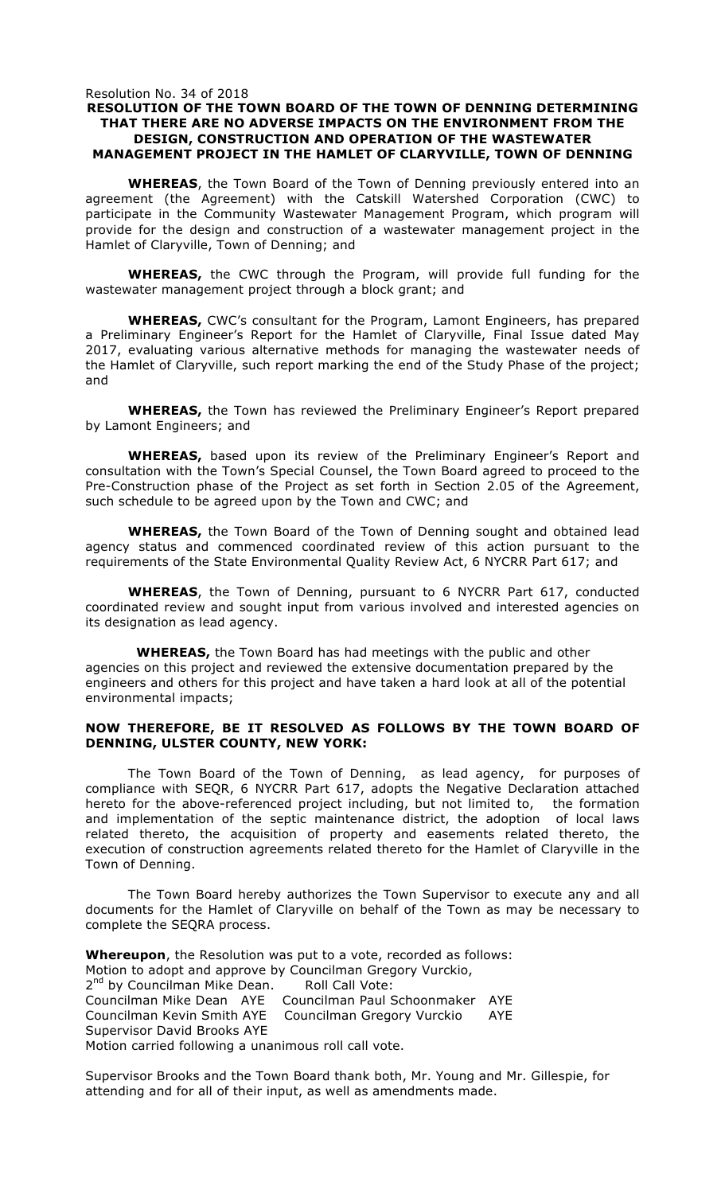#### Resolution No. 34 of 2018 **RESOLUTION OF THE TOWN BOARD OF THE TOWN OF DENNING DETERMINING THAT THERE ARE NO ADVERSE IMPACTS ON THE ENVIRONMENT FROM THE DESIGN, CONSTRUCTION AND OPERATION OF THE WASTEWATER MANAGEMENT PROJECT IN THE HAMLET OF CLARYVILLE, TOWN OF DENNING**

**WHEREAS**, the Town Board of the Town of Denning previously entered into an agreement (the Agreement) with the Catskill Watershed Corporation (CWC) to participate in the Community Wastewater Management Program, which program will provide for the design and construction of a wastewater management project in the Hamlet of Claryville, Town of Denning; and

**WHEREAS,** the CWC through the Program, will provide full funding for the wastewater management project through a block grant; and

**WHEREAS,** CWC's consultant for the Program, Lamont Engineers, has prepared a Preliminary Engineer's Report for the Hamlet of Claryville, Final Issue dated May 2017, evaluating various alternative methods for managing the wastewater needs of the Hamlet of Claryville, such report marking the end of the Study Phase of the project; and

**WHEREAS,** the Town has reviewed the Preliminary Engineer's Report prepared by Lamont Engineers; and

**WHEREAS,** based upon its review of the Preliminary Engineer's Report and consultation with the Town's Special Counsel, the Town Board agreed to proceed to the Pre-Construction phase of the Project as set forth in Section 2.05 of the Agreement, such schedule to be agreed upon by the Town and CWC; and

**WHEREAS,** the Town Board of the Town of Denning sought and obtained lead agency status and commenced coordinated review of this action pursuant to the requirements of the State Environmental Quality Review Act, 6 NYCRR Part 617; and

**WHEREAS**, the Town of Denning, pursuant to 6 NYCRR Part 617, conducted coordinated review and sought input from various involved and interested agencies on its designation as lead agency.

 **WHEREAS,** the Town Board has had meetings with the public and other agencies on this project and reviewed the extensive documentation prepared by the engineers and others for this project and have taken a hard look at all of the potential environmental impacts;

#### **NOW THEREFORE, BE IT RESOLVED AS FOLLOWS BY THE TOWN BOARD OF DENNING, ULSTER COUNTY, NEW YORK:**

The Town Board of the Town of Denning, as lead agency, for purposes of compliance with SEQR, 6 NYCRR Part 617, adopts the Negative Declaration attached hereto for the above-referenced project including, but not limited to, the formation and implementation of the septic maintenance district, the adoption of local laws related thereto, the acquisition of property and easements related thereto, the execution of construction agreements related thereto for the Hamlet of Claryville in the Town of Denning.

The Town Board hereby authorizes the Town Supervisor to execute any and all documents for the Hamlet of Claryville on behalf of the Town as may be necessary to complete the SEQRA process.

**Whereupon**, the Resolution was put to a vote, recorded as follows: Motion to adopt and approve by Councilman Gregory Vurckio, 2<sup>nd</sup> by Councilman Mike Dean. Roll Call Vote: Councilman Mike Dean AYE Councilman Paul Schoonmaker AYE Councilman Kevin Smith AYE Councilman Gregory Vurckio AYE Supervisor David Brooks AYE Motion carried following a unanimous roll call vote.

Supervisor Brooks and the Town Board thank both, Mr. Young and Mr. Gillespie, for attending and for all of their input, as well as amendments made.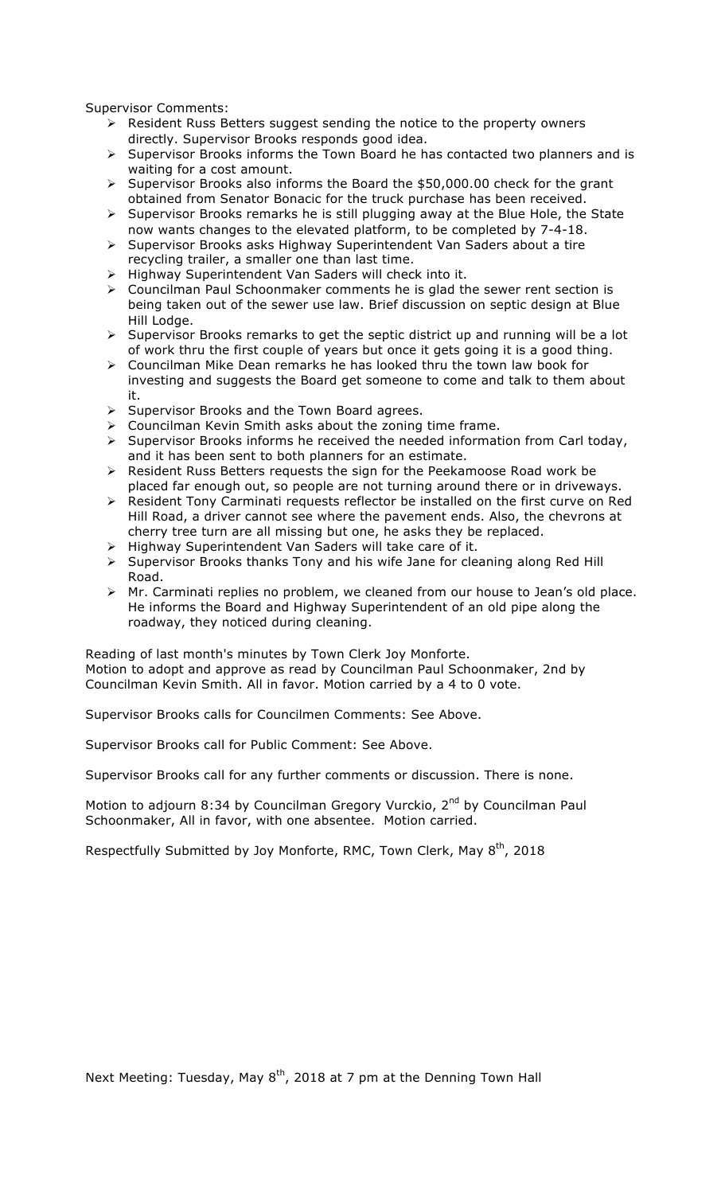Supervisor Comments:

- $\triangleright$  Resident Russ Betters suggest sending the notice to the property owners directly. Supervisor Brooks responds good idea.
- $\triangleright$  Supervisor Brooks informs the Town Board he has contacted two planners and is waiting for a cost amount.
- $\triangleright$  Supervisor Brooks also informs the Board the \$50,000.00 check for the grant obtained from Senator Bonacic for the truck purchase has been received.
- > Supervisor Brooks remarks he is still plugging away at the Blue Hole, the State now wants changes to the elevated platform, to be completed by 7-4-18.
- > Supervisor Brooks asks Highway Superintendent Van Saders about a tire recycling trailer, a smaller one than last time.
- > Highway Superintendent Van Saders will check into it.
- > Councilman Paul Schoonmaker comments he is glad the sewer rent section is being taken out of the sewer use law. Brief discussion on septic design at Blue Hill Lodge.
- > Supervisor Brooks remarks to get the septic district up and running will be a lot of work thru the first couple of years but once it gets going it is a good thing.
- $\triangleright$  Councilman Mike Dean remarks he has looked thru the town law book for investing and suggests the Board get someone to come and talk to them about it.
- $\triangleright$  Supervisor Brooks and the Town Board agrees.
- $\triangleright$  Councilman Kevin Smith asks about the zoning time frame.
- $\triangleright$  Supervisor Brooks informs he received the needed information from Carl today, and it has been sent to both planners for an estimate.
- > Resident Russ Betters requests the sign for the Peekamoose Road work be placed far enough out, so people are not turning around there or in driveways.
- > Resident Tony Carminati requests reflector be installed on the first curve on Red Hill Road, a driver cannot see where the pavement ends. Also, the chevrons at cherry tree turn are all missing but one, he asks they be replaced.
- $\triangleright$  Highway Superintendent Van Saders will take care of it.
- > Supervisor Brooks thanks Tony and his wife Jane for cleaning along Red Hill Road.
- > Mr. Carminati replies no problem, we cleaned from our house to Jean's old place. He informs the Board and Highway Superintendent of an old pipe along the roadway, they noticed during cleaning.

Reading of last month's minutes by Town Clerk Joy Monforte. Motion to adopt and approve as read by Councilman Paul Schoonmaker, 2nd by Councilman Kevin Smith. All in favor. Motion carried by a 4 to 0 vote.

Supervisor Brooks calls for Councilmen Comments: See Above.

Supervisor Brooks call for Public Comment: See Above.

Supervisor Brooks call for any further comments or discussion. There is none.

Motion to adjourn 8:34 by Councilman Gregory Vurckio, 2<sup>nd</sup> by Councilman Paul Schoonmaker, All in favor, with one absentee. Motion carried.

Respectfully Submitted by Joy Monforte, RMC, Town Clerk, May 8<sup>th</sup>, 2018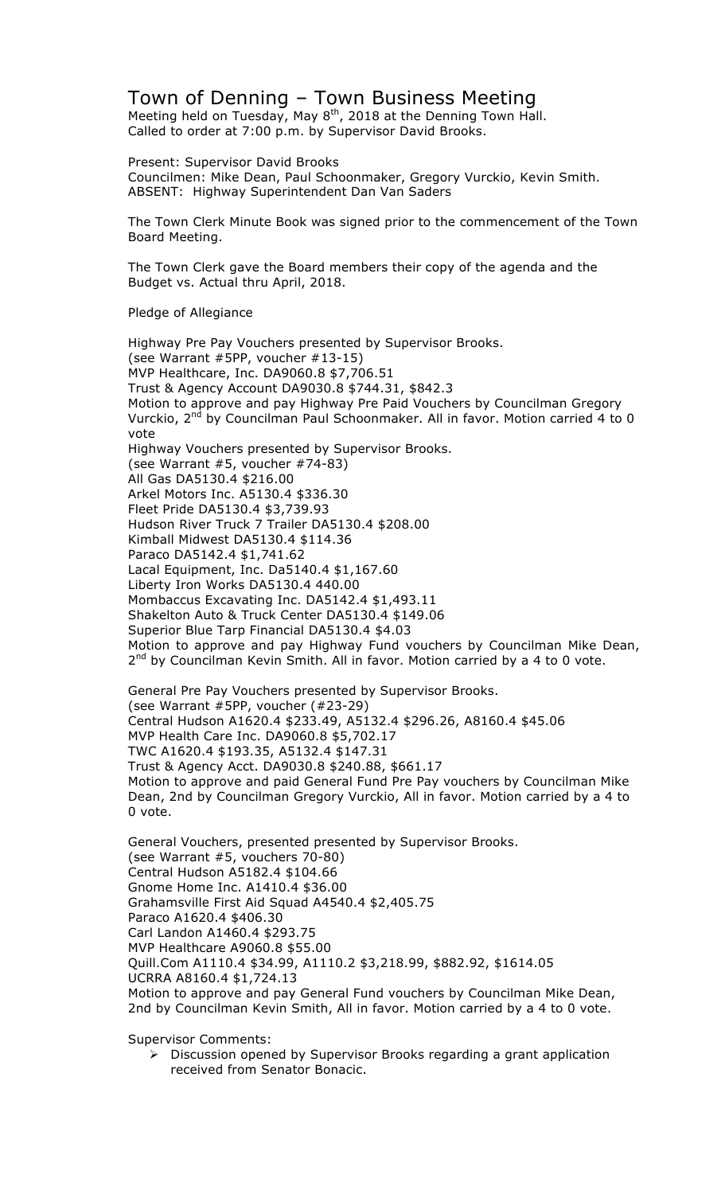## Town of Denning – Town Business Meeting Meeting held on Tuesday, May  $8<sup>th</sup>$ , 2018 at the Denning Town Hall.

Called to order at 7:00 p.m. by Supervisor David Brooks.

Present: Supervisor David Brooks Councilmen: Mike Dean, Paul Schoonmaker, Gregory Vurckio, Kevin Smith. ABSENT: Highway Superintendent Dan Van Saders

The Town Clerk Minute Book was signed prior to the commencement of the Town Board Meeting.

The Town Clerk gave the Board members their copy of the agenda and the Budget vs. Actual thru April, 2018.

Pledge of Allegiance

Highway Pre Pay Vouchers presented by Supervisor Brooks. (see Warrant #5PP, voucher #13-15) MVP Healthcare, Inc. DA9060.8 \$7,706.51 Trust & Agency Account DA9030.8 \$744.31, \$842.3 Motion to approve and pay Highway Pre Paid Vouchers by Councilman Gregory Vurckio, 2<sup>nd</sup> by Councilman Paul Schoonmaker. All in favor. Motion carried 4 to 0 vote Highway Vouchers presented by Supervisor Brooks. (see Warrant #5, voucher #74-83) All Gas DA5130.4 \$216.00 Arkel Motors Inc. A5130.4 \$336.30 Fleet Pride DA5130.4 \$3,739.93 Hudson River Truck 7 Trailer DA5130.4 \$208.00 Kimball Midwest DA5130.4 \$114.36 Paraco DA5142.4 \$1,741.62 Lacal Equipment, Inc. Da5140.4 \$1,167.60 Liberty Iron Works DA5130.4 440.00 Mombaccus Excavating Inc. DA5142.4 \$1,493.11 Shakelton Auto & Truck Center DA5130.4 \$149.06 Superior Blue Tarp Financial DA5130.4 \$4.03 Motion to approve and pay Highway Fund vouchers by Councilman Mike Dean,  $2^{nd}$  by Councilman Kevin Smith. All in favor. Motion carried by a 4 to 0 vote. General Pre Pay Vouchers presented by Supervisor Brooks. (see Warrant #5PP, voucher (#23-29)

Central Hudson A1620.4 \$233.49, A5132.4 \$296.26, A8160.4 \$45.06 MVP Health Care Inc. DA9060.8 \$5,702.17 TWC A1620.4 \$193.35, A5132.4 \$147.31 Trust & Agency Acct. DA9030.8 \$240.88, \$661.17 Motion to approve and paid General Fund Pre Pay vouchers by Councilman Mike Dean, 2nd by Councilman Gregory Vurckio, All in favor. Motion carried by a 4 to 0 vote.

General Vouchers, presented presented by Supervisor Brooks. (see Warrant #5, vouchers 70-80) Central Hudson A5182.4 \$104.66 Gnome Home Inc. A1410.4 \$36.00 Grahamsville First Aid Squad A4540.4 \$2,405.75 Paraco A1620.4 \$406.30 Carl Landon A1460.4 \$293.75 MVP Healthcare A9060.8 \$55.00 Quill.Com A1110.4 \$34.99, A1110.2 \$3,218.99, \$882.92, \$1614.05 UCRRA A8160.4 \$1,724.13 Motion to approve and pay General Fund vouchers by Councilman Mike Dean, 2nd by Councilman Kevin Smith, All in favor. Motion carried by a 4 to 0 vote.

Supervisor Comments:

 $\triangleright$  Discussion opened by Supervisor Brooks regarding a grant application received from Senator Bonacic.